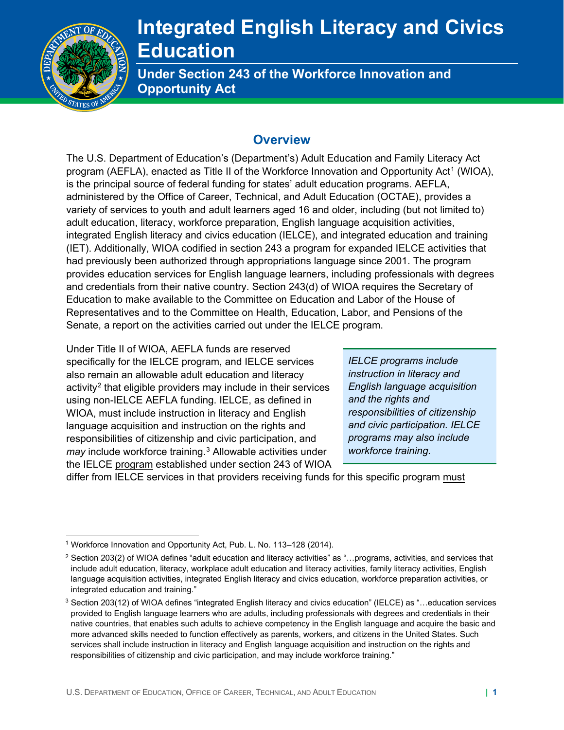

# **Integrated English Literacy and Civics Education**

**Under Section 243 of the Workforce Innovation and Opportunity Act** 

### **Overview**

program (AEFLA), enacted as Title II of the Workforce Innovation and Opportunity Act<sup>[1](#page-0-0)</sup> (WIOA), Senate, a report on the activities carried out under the IELCE program.<br>Under Title II of WIOA, AEFLA funds are reserved The U.S. Department of Education's (Department's) Adult Education and Family Literacy Act is the principal source of federal funding for states' adult education programs. AEFLA, administered by the Office of Career, Technical, and Adult Education (OCTAE), provides a variety of services to youth and adult learners aged 16 and older, including (but not limited to) adult education, literacy, workforce preparation, English language acquisition activities, integrated English literacy and civics education (IELCE), and integrated education and training (IET). Additionally, WIOA codified in section 243 a program for expanded IELCE activities that had previously been authorized through appropriations language since 2001. The program provides education services for English language learners, including professionals with degrees and credentials from their native country. Section 243(d) of WIOA requires the Secretary of Education to make available to the Committee on Education and Labor of the House of Representatives and to the Committee on Health, Education, Labor, and Pensions of the

specifically for the IELCE program, and IELCE services *IELCE programs include*  also remain an allowable adult education and literacy *instruction in literacy and*  activity[2](#page-0-1) that eligible providers may include in their services *English language acquisition*  using non-IELCE AEFLA funding. IELCE, as defined in *and the rights and*  WIOA, must include instruction in literacy and English *responsibilities of citizenship*  language acquisition and instruction on the rights and *and civic participation. IELCE*  responsibilities of citizenship and civic participation, and *programs may also include may* include workforce training.[3](#page-0-2) Allowable activities under *workforce training.*  the IELCE program established under section 243 of WIOA

differ from IELCE services in that providers receiving funds for this specific program must

<span id="page-0-0"></span><sup>&</sup>lt;sup>1</sup> Workforce Innovation and Opportunity Act, Pub. L. No. 113-128 (2014).

<span id="page-0-1"></span> $2$  Section 203(2) of WIOA defines "adult education and literacy activities" as "...programs, activities, and services that include adult education, literacy, workplace adult education and literacy activities, family literacy activities, English language acquisition activities, integrated English literacy and civics education, workforce preparation activities, or integrated education and training."

<span id="page-0-2"></span> $3$  Section 203(12) of WIOA defines "integrated English literacy and civics education" (IELCE) as "...education services provided to English language learners who are adults, including professionals with degrees and credentials in their native countries, that enables such adults to achieve competency in the English language and acquire the basic and more advanced skills needed to function effectively as parents, workers, and citizens in the United States. Such services shall include instruction in literacy and English language acquisition and instruction on the rights and responsibilities of citizenship and civic participation, and may include workforce training."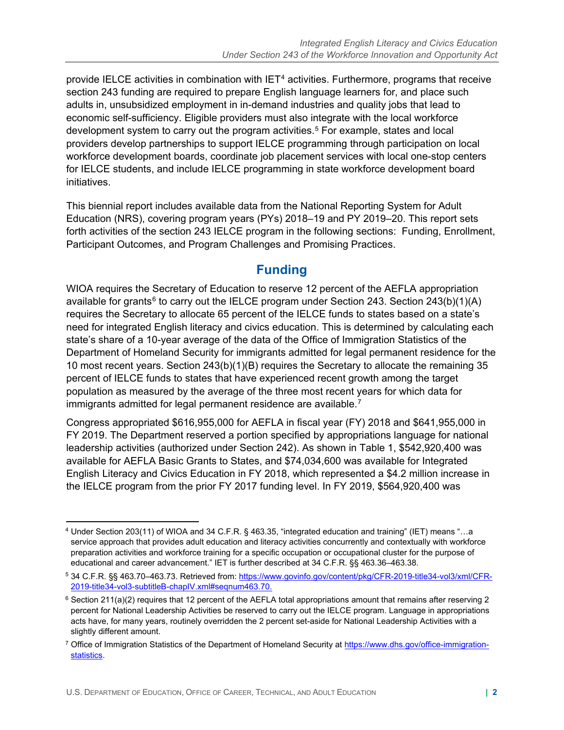economic self-sufficiency. Eligible providers must also integrate with the local workforce development system to carry out the program activities.<sup>[5](#page-1-1)</sup> For example, states and local initiatives. provide IELCE activities in combination with  $IET<sup>4</sup>$  $IET<sup>4</sup>$  $IET<sup>4</sup>$  activities. Furthermore, programs that receive section 243 funding are required to prepare English language learners for, and place such adults in, unsubsidized employment in in-demand industries and quality jobs that lead to providers develop partnerships to support IELCE programming through participation on local workforce development boards, coordinate job placement services with local one-stop centers for IELCE students, and include IELCE programming in state workforce development board

initiatives.<br>This biennial report includes available data from the National Reporting System for Adult Education (NRS), covering program years (PYs) 2018–19 and PY 2019–20. This report sets forth activities of the section 243 IELCE program in the following sections: Funding, Enrollment, Participant Outcomes, and Program Challenges and Promising Practices.

## **Funding**

 WIOA requires the Secretary of Education to reserve 12 percent of the AEFLA appropriation available for grants $6$  to carry out the IELCE program under Section 243. Section 243(b)(1)(A) requires the Secretary to allocate 65 percent of the IELCE funds to states based on a state's need for integrated English literacy and civics education. This is determined by calculating each 10 most recent years. Section 243(b)(1)(B) requires the Secretary to allocate the remaining 35 state's share of a 10-year average of the data of the Office of Immigration Statistics of the Department of Homeland Security for immigrants admitted for legal permanent residence for the percent of IELCE funds to states that have experienced recent growth among the target population as measured by the average of the three most recent years for which data for immigrants admitted for legal permanent residence are available.<sup>[7](#page-1-3)</sup>

 leadership activities (authorized under Section 242). As shown in Table 1, \$542,920,400 was Congress appropriated \$616,955,000 for AEFLA in fiscal year (FY) 2018 and \$641,955,000 in FY 2019. The Department reserved a portion specified by appropriations language for national available for AEFLA Basic Grants to States, and \$74,034,600 was available for Integrated English Literacy and Civics Education in FY 2018, which represented a \$4.2 million increase in the IELCE program from the prior FY 2017 funding level. In FY 2019, \$564,920,400 was

<span id="page-1-0"></span><sup>4</sup> Under Section 203(11) of WIOA and 34 C.F.R. § 463.35, "integrated education and training" (IET) means "…a service approach that provides adult education and literacy activities concurrently and contextually with workforce preparation activities and workforce training for a specific occupation or occupational cluster for the purpose of educational and career advancement." IET is further described at 34 C.F.R. §§ [463.36–463.38](https://463.36�463.38).

<span id="page-1-1"></span> 5 34 C.F.R. §§ [463.70–463.73](https://463.70�463.73). Retrieved from[: https://www.govinfo.gov/content/pkg/CFR-2019-title34-vol3/xml/CFR-](https://www.govinfo.gov/content/pkg/CFR-2019-title34-vol3/xml/CFR-2019-title34-vol3-subtitleB-chapIV.xml#seqnum463.70)[2019-title34-vol3-subtitleB-chapIV.xml#seqnum463.70.](https://www.govinfo.gov/content/pkg/CFR-2019-title34-vol3/xml/CFR-2019-title34-vol3-subtitleB-chapIV.xml#seqnum463.70)

<span id="page-1-2"></span> $^6$  Section 211(a)(2) requires that 12 percent of the AEFLA total appropriations amount that remains after reserving 2  $\,$ percent for National Leadership Activities be reserved to carry out the IELCE program. Language in appropriations acts have, for many years, routinely overridden the 2 percent set-aside for National Leadership Activities with a slightly different amount.

<span id="page-1-3"></span><sup>&</sup>lt;sup>7</sup> Office of Immigration Statistics of the Department of Homeland Security at [https://www.dhs.gov/office-immigration](https://www.dhs.gov/office-immigration-statistics)[statistics.](https://www.dhs.gov/office-immigration-statistics)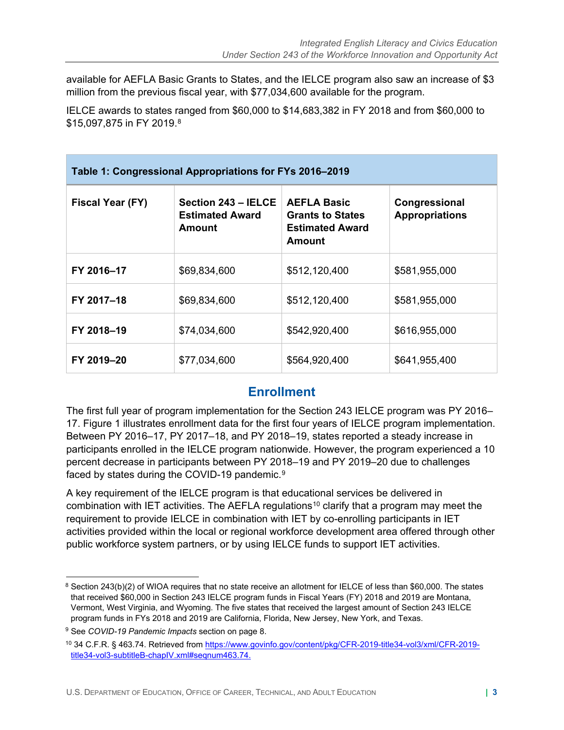available for AEFLA Basic Grants to States, and the IELCE program also saw an increase of \$3 million from the previous fiscal year, with \$77,034,600 available for the program.

 IELCE awards to states ranged from \$60,000 to \$14,683,382 in FY 2018 and from \$60,000 to \$15,097,875 in FY 2019.8

| Table 1: Congressional Appropriations for FYs 2016-2019 |                                                         |                                                                                   |                                        |  |  |
|---------------------------------------------------------|---------------------------------------------------------|-----------------------------------------------------------------------------------|----------------------------------------|--|--|
| Fiscal Year (FY)                                        | Section 243 - IELCE<br><b>Estimated Award</b><br>Amount | <b>AEFLA Basic</b><br><b>Grants to States</b><br><b>Estimated Award</b><br>Amount | Congressional<br><b>Appropriations</b> |  |  |
| FY 2016-17                                              | \$69,834,600                                            | \$512,120,400                                                                     | \$581,955,000                          |  |  |
| FY 2017-18                                              | \$69,834,600                                            | \$512,120,400                                                                     | \$581,955,000                          |  |  |
| FY 2018-19                                              | \$74,034,600                                            | \$542,920,400                                                                     | \$616,955,000                          |  |  |
| FY 2019-20                                              | \$77,034,600                                            | \$564,920,400                                                                     | \$641,955,400                          |  |  |

## **Enrollment**

17. Figure 1 illustrates enrollment data for the first four years of IELCE program implementation. 17. Figure 1 illustrates enrollment data for the first four years of IELCE program implementation.<br>Between PY 2016–17, PY 2017–18, and PY 2018–19, states reported a steady increase in faced by states during the COVID-1[9](#page-2-1) pandemic. $9$ The first full year of program implementation for the Section 243 IELCE program was PY 2016– participants enrolled in the IELCE program nationwide. However, the program experienced a 10 percent decrease in participants between PY 2018–19 and PY 2019–20 due to challenges

A key requirement of the IELCE program is that educational services be delivered in combination with IET activities. The AEFLA regulations<sup>10</sup> clarify that a program may meet the requirement to provide IELCE in combination with IET by co-enrolling participants in IET activities provided within the local or regional workforce development area offered through other public workforce system partners, or by using IELCE funds to support IET activities.

<span id="page-2-0"></span> that received \$60,000 in Section 243 IELCE program funds in Fiscal Years (FY) 2018 and 2019 are Montana,  $8$  Section 243(b)(2) of WIOA requires that no state receive an allotment for IELCE of less than \$60,000. The states Vermont, West Virginia, and Wyoming. The five states that received the largest amount of Section 243 IELCE program funds in FYs 2018 and 2019 are California, Florida, New Jersey, New York, and Texas.

<span id="page-2-1"></span><sup>9</sup> See *COVID-19 Pandemic Impacts* section on page 8.

<span id="page-2-2"></span> 10 34 C.F.R. § 463.74. Retrieved from [https://www.govinfo.gov/content/pkg/CFR-2019-title34-vol3/xml/CFR-2019](https://www.govinfo.gov/content/pkg/CFR-2019-title34-vol3/xml/CFR-2019-title34-vol3-subtitleB-chapIV.xml#seqnum463.74) [title34-vol3-subtitleB-chapIV.xml#seqnum463.74.](https://www.govinfo.gov/content/pkg/CFR-2019-title34-vol3/xml/CFR-2019-title34-vol3-subtitleB-chapIV.xml#seqnum463.74)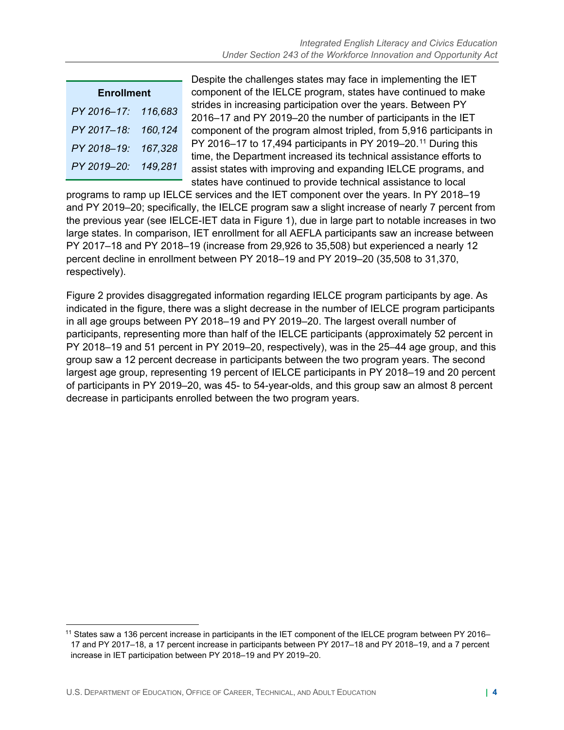| <b>Enrollment</b> |         |  |  |  |
|-------------------|---------|--|--|--|
| PY 2016-17:       | 116,683 |  |  |  |
| PY 2017-18:       | 160,124 |  |  |  |
| PY 2018-19:       | 167,328 |  |  |  |
| PY 2019-20:       | 149,281 |  |  |  |

Despite the challenges states may face in implementing the IET **Enrollment** component of the IELCE program, states have continued to make strides in increasing participation over the years. Between PY<br>2016–17 and PY 2019–20 the number of participants in the IET component of the program almost tripled, from 5,916 participants in PY 2016–17 to 17,494 participants in PY 2019–20.<sup>[11](#page-3-0)</sup> During this *time*, the Department increased its technical assistance efforts to assist states with improving and expanding IELCE programs, and states have continued to provide technical assistance to local

 and PY 2019–20; specifically, the IELCE program saw a slight increase of nearly 7 percent from PY 2017–18 and PY 2018–19 (increase from 29,926 to 35,508) but experienced a nearly 12 programs to ramp up IELCE services and the IET component over the years. In PY 2018–19 the previous year (see IELCE-IET data in Figure 1), due in large part to notable increases in two large states. In comparison, IET enrollment for all AEFLA participants saw an increase between percent decline in enrollment between PY 2018–19 and PY 2019–20 (35,508 to 31,370, respectively).

 in all age groups between PY 2018–19 and PY 2019–20. The largest overall number of decrease in participants enrolled between the two program years. Figure 2 provides disaggregated information regarding IELCE program participants by age. As indicated in the figure, there was a slight decrease in the number of IELCE program participants participants, representing more than half of the IELCE participants (approximately 52 percent in PY 2018–19 and 51 percent in PY 2019–20, respectively), was in the 25–44 age group, and this group saw a 12 percent decrease in participants between the two program years. The second largest age group, representing 19 percent of IELCE participants in PY 2018–19 and 20 percent of participants in PY 2019–20, was 45- to 54-year-olds, and this group saw an almost 8 percent

<span id="page-3-0"></span><sup>&</sup>lt;sup>11</sup> States saw a 136 percent increase in participants in the IET component of the IELCE program between PY 2016– 17 and PY 2017–18, a 17 percent increase in participants between PY 2017–18 and PY 2018–19, and a 7 percent increase in IET participation between PY 2018–19 and PY 2019–20.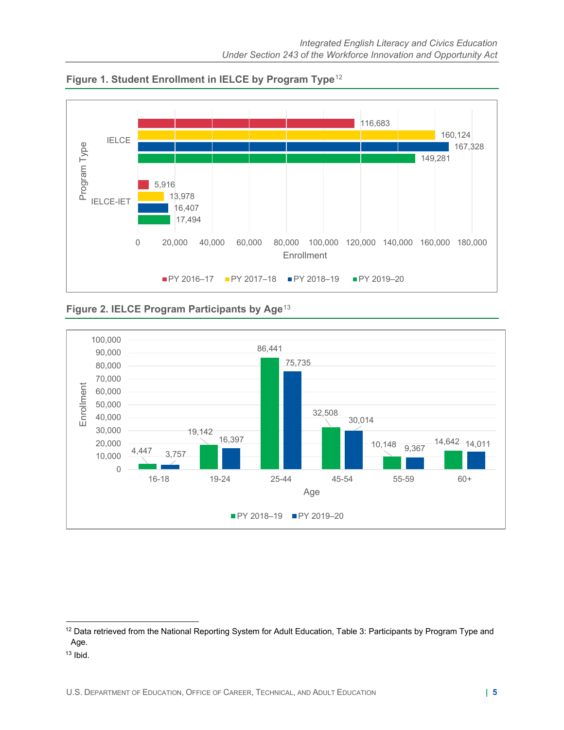

**Figure 1. Student Enrollment in IELCE by Program Type**[12](#page-4-0) 

**Figure 2. IELCE Program Participants by Age**[13](#page-4-1) 



<span id="page-4-0"></span><sup>&</sup>lt;sup>12</sup> Data retrieved from the National Reporting System for Adult Education, Table 3: Participants by Program Type and Age.

<span id="page-4-1"></span> $13$  Ibid.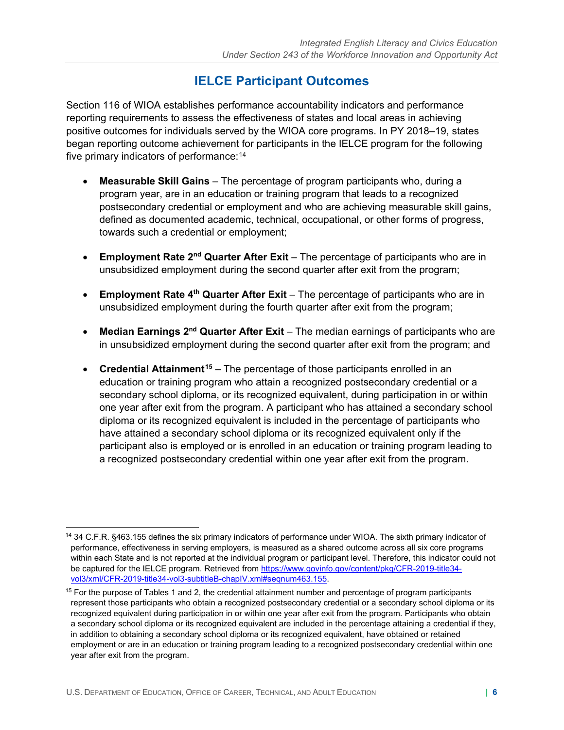# **IELCE Participant Outcomes**

 began reporting outcome achievement for participants in the IELCE program for the following five primary indicators of performance: $14$ Section 116 of WIOA establishes performance accountability indicators and performance reporting requirements to assess the effectiveness of states and local areas in achieving positive outcomes for individuals served by the WIOA core programs. In PY 2018–19, states

- • **Measurable Skill Gains**  The percentage of program participants who, during a program year, are in an education or training program that leads to a recognized postsecondary credential or employment and who are achieving measurable skill gains, defined as documented academic, technical, occupational, or other forms of progress, towards such a credential or employment;
- • **Employment Rate 2nd Quarter After Exit**  The percentage of participants who are in unsubsidized employment during the second quarter after exit from the program;
- **Employment Rate 4th Quarter After Exit**  The percentage of participants who are in unsubsidized employment during the fourth quarter after exit from the program;
- **Median Earnings 2<sup>nd</sup> Quarter After Exit** The median earnings of participants who are in unsubsidized employment during the second quarter after exit from the program; and
- • **Credential Attainment[15](#page-5-1)**  The percentage of those participants enrolled in an education or training program who attain a recognized postsecondary credential or a secondary school diploma, or its recognized equivalent, during participation in or within one year after exit from the program. A participant who has attained a secondary school diploma or its recognized equivalent is included in the percentage of participants who have attained a secondary school diploma or its recognized equivalent only if the participant also is employed or is enrolled in an education or training program leading to a recognized postsecondary credential within one year after exit from the program.

<span id="page-5-0"></span><sup>14 34</sup> C.F.R. §463.155 defines the six primary indicators of performance under WIOA. The sixth primary indicator of performance, effectiveness in serving employers, is measured as a shared outcome across all six core programs within each State and is not reported at the individual program or participant level. Therefore, this indicator could not be captured for the IELCE program. Retrieved fro[m https://www.govinfo.gov/content/pkg/CFR-2019-title34-](https://www.govinfo.gov/content/pkg/CFR-2019-title34-vol3/xml/CFR-2019-title34-vol3-subtitleB-chapIV.xml#seqnum463.155)<br>vol3/xml/CFR-2019-title34-vol3-subtitleB-chapIV.xml#seqnum463.155.

<span id="page-5-1"></span> $15$  For the purpose of Tables 1 and 2, the credential attainment number and percentage of program participants represent those participants who obtain a recognized postsecondary credential or a secondary school diploma or its recognized equivalent during participation in or within one year after exit from the program. Participants who obtain a secondary school diploma or its recognized equivalent are included in the percentage attaining a credential if they, in addition to obtaining a secondary school diploma or its recognized equivalent, have obtained or retained employment or are in an education or training program leading to a recognized postsecondary credential within one year after exit from the program.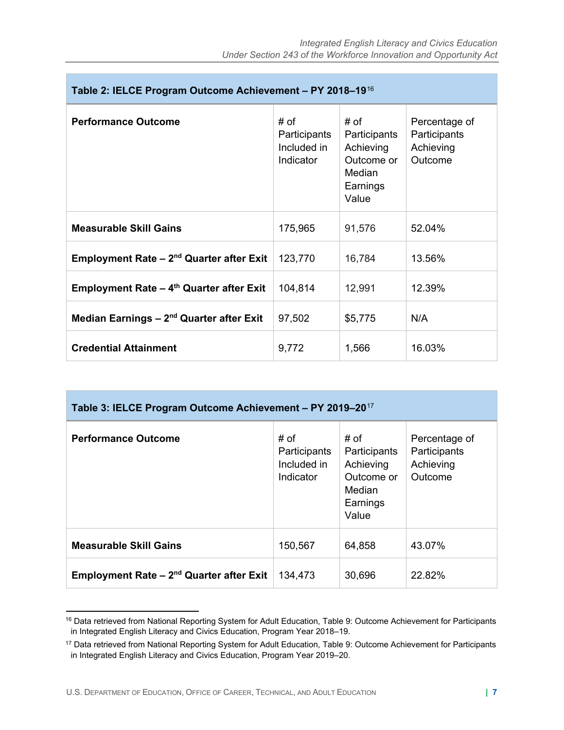| Table 2: IELCE Program Outcome Achievement - PY 2018-1916  |                                                  |                                                                                |                                                       |  |
|------------------------------------------------------------|--------------------------------------------------|--------------------------------------------------------------------------------|-------------------------------------------------------|--|
| <b>Performance Outcome</b>                                 | # of<br>Participants<br>Included in<br>Indicator | # of<br>Participants<br>Achieving<br>Outcome or<br>Median<br>Earnings<br>Value | Percentage of<br>Participants<br>Achieving<br>Outcome |  |
| <b>Measurable Skill Gains</b>                              | 175,965                                          | 91,576                                                                         | 52.04%                                                |  |
| <b>Employment Rate – 2<sup>nd</sup> Quarter after Exit</b> | 123,770                                          | 16,784                                                                         | 13.56%                                                |  |
| <b>Employment Rate – 4th Quarter after Exit</b>            | 104,814                                          | 12,991                                                                         | 12.39%                                                |  |
| Median Earnings $-2nd$ Quarter after Exit                  | 97,502                                           | \$5,775                                                                        | N/A                                                   |  |
| <b>Credential Attainment</b>                               | 9,772                                            | 1,566                                                                          | 16.03%                                                |  |

| Table 3: IELCE Program Outcome Achievement - PY 2019-20 <sup>17</sup> |                                                  |                                                                                |                                                       |  |  |
|-----------------------------------------------------------------------|--------------------------------------------------|--------------------------------------------------------------------------------|-------------------------------------------------------|--|--|
| <b>Performance Outcome</b>                                            | # of<br>Participants<br>Included in<br>Indicator | # of<br>Participants<br>Achieving<br>Outcome or<br>Median<br>Earnings<br>Value | Percentage of<br>Participants<br>Achieving<br>Outcome |  |  |
| <b>Measurable Skill Gains</b>                                         | 150,567                                          | 64,858                                                                         | 43.07%                                                |  |  |
| Employment Rate - 2 <sup>nd</sup> Quarter after Exit                  | 134,473                                          | 30,696                                                                         | 22.82%                                                |  |  |

<span id="page-6-0"></span><sup>&</sup>lt;sup>16</sup> Data retrieved from National Reporting System for Adult Education, Table 9: Outcome Achievement for Participants in Integrated English Literacy and Civics Education, Program Year 2018–19.

<span id="page-6-1"></span><sup>&</sup>lt;sup>17</sup> Data retrieved from National Reporting System for Adult Education, Table 9: Outcome Achievement for Participants in Integrated English Literacy and Civics Education, Program Year 2019–20.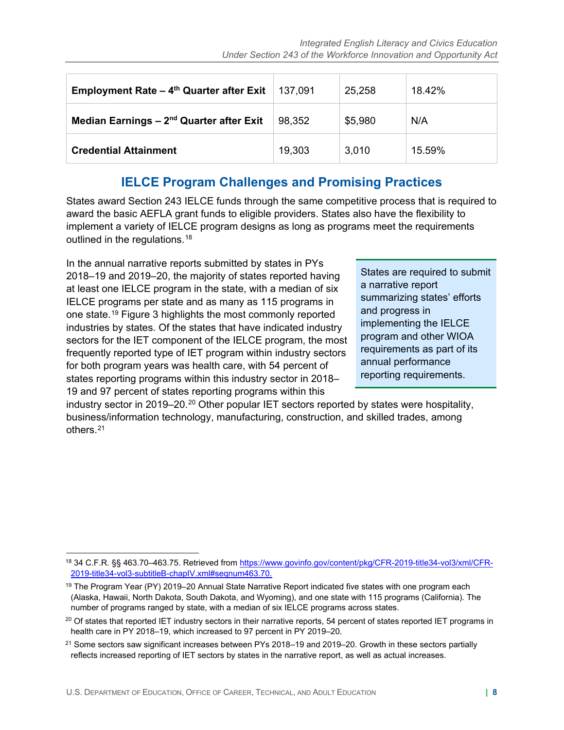| <b>Employment Rate - 4th Quarter after Exit</b>      | 137,091 | 25,258  | 18.42% |
|------------------------------------------------------|---------|---------|--------|
| Median Earnings - 2 <sup>nd</sup> Quarter after Exit | 98,352  | \$5,980 | N/A    |
| <b>Credential Attainment</b>                         | 19,303  | 3,010   | 15.59% |

#### **IELCE Program Challenges and Promising Practices**

outlined in the regulations.<sup>18</sup> States award Section 243 IELCE funds through the same competitive process that is required to award the basic AEFLA grant funds to eligible providers. States also have the flexibility to implement a variety of IELCE program designs as long as programs meet the requirements

IELCE programs per state and as many as 115 programs in summarizing states' efforts one state.<sup>19</sup> Figure 3 highlights the most commonly reported and progress in<br>industries by states. Of the states that have indicated industry implementing the IELCE<br>sectors for the IET component of the IELCE program, the In the annual narrative reports submitted by states in PYs 2018–19 and 2019–20, the majority of states reported having<br>a narrative report<br>IELCE programs per state and as many as 115 programs in summarizing states' efforts Frequently reported type of IET program within industry sectors<br>for both program years was health care, with 54 percent of<br>states reporting programs within this industry sector in 2018-19 and 97 percent of states reporting programs within this

industry sector in [20](#page-7-2)19–20.<sup>20</sup> Other popular IET sectors reported by states were hospitality, business/information technology, manufacturing, construction, and skilled trades, among others.[21](#page-7-3) 

<span id="page-7-0"></span><sup>&</sup>lt;sup>18</sup> 34 C.F.R. §§ [463.70–463.75.](https://463.70�463.75) Retrieved from <u>https://www.govinfo.gov/content/pkg/CFR-2019-title34-vol3/xml/CFR-</u> [2019-title34-vol3-subtitleB-chapIV.xml#seqnum463.70.](https://www.govinfo.gov/content/pkg/CFR-2019-title34-vol3/xml/CFR-2019-title34-vol3-subtitleB-chapIV.xml#seqnum463.70)

<span id="page-7-1"></span><sup>&</sup>lt;sup>19</sup> The Program Year (PY) 2019–20 Annual State Narrative Report indicated five states with one program each (Alaska, Hawaii, North Dakota, South Dakota, and Wyoming), and one state with 115 programs (California). The number of programs ranged by state, with a median of six IELCE programs across states.

<span id="page-7-2"></span> health care in PY 2018–19, which increased to 97 percent in PY 2019–20.  $20$  Of states that reported IET industry sectors in their narrative reports, 54 percent of states reported IET programs in

<span id="page-7-3"></span><sup>&</sup>lt;sup>21</sup> Some sectors saw significant increases between PYs 2018–19 and 2019–20. Growth in these sectors partially reflects increased reporting of IET sectors by states in the narrative report, as well as actual increases.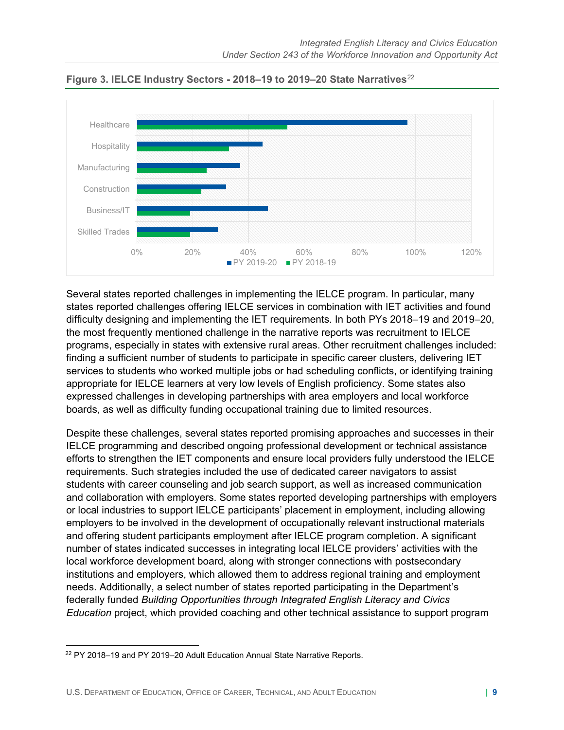

**Figure 3. IELCE Industry Sectors - 2018–19 to 2019–20 State Narratives**[22](#page-8-0)

 states reported challenges offering IELCE services in combination with IET activities and found Several states reported challenges in implementing the IELCE program. In particular, many difficulty designing and implementing the IET requirements. In both PYs 2018–19 and 2019–20, the most frequently mentioned challenge in the narrative reports was recruitment to IELCE programs, especially in states with extensive rural areas. Other recruitment challenges included: finding a sufficient number of students to participate in specific career clusters, delivering IET services to students who worked multiple jobs or had scheduling conflicts, or identifying training appropriate for IELCE learners at very low levels of English proficiency. Some states also expressed challenges in developing partnerships with area employers and local workforce boards, as well as difficulty funding occupational training due to limited resources.

 employers to be involved in the development of occupationally relevant instructional materials Despite these challenges, several states reported promising approaches and successes in their IELCE programming and described ongoing professional development or technical assistance efforts to strengthen the IET components and ensure local providers fully understood the IELCE requirements. Such strategies included the use of dedicated career navigators to assist students with career counseling and job search support, as well as increased communication and collaboration with employers. Some states reported developing partnerships with employers or local industries to support IELCE participants' placement in employment, including allowing and offering student participants employment after IELCE program completion. A significant number of states indicated successes in integrating local IELCE providers' activities with the local workforce development board, along with stronger connections with postsecondary institutions and employers, which allowed them to address regional training and employment needs. Additionally, a select number of states reported participating in the Department's federally funded *Building Opportunities through Integrated English Literacy and Civics Education* project, which provided coaching and other technical assistance to support program

<span id="page-8-0"></span><sup>22</sup> PY 2018–19 and PY 2019–20 Adult Education Annual State Narrative Reports.